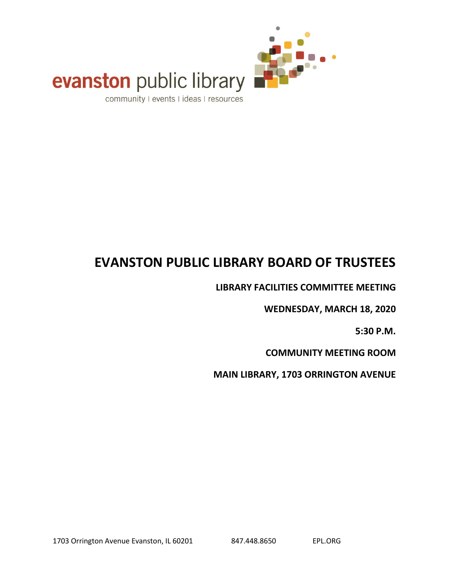

# evanston public library

community I events I ideas I resources

### **EVANSTON PUBLIC LIBRARY BOARD OF TRUSTEES**

**LIBRARY FACILITIES COMMITTEE MEETING**

**WEDNESDAY, MARCH 18, 2020**

**5:30 P.M.**

**COMMUNITY MEETING ROOM**

**MAIN LIBRARY, 1703 ORRINGTON AVENUE**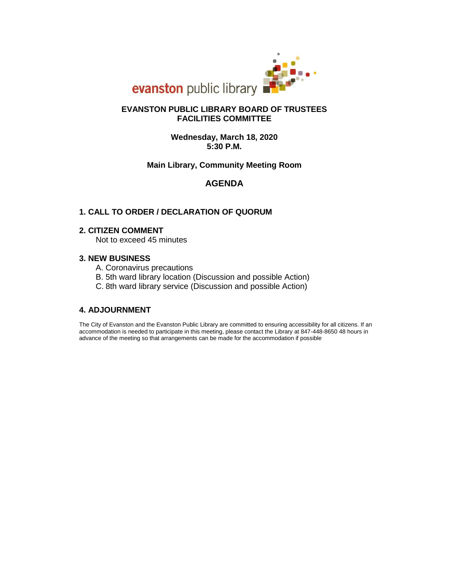

### **FACILITIES COMMITTEE EVANSTON PUBLIC LIBRARY BOARD OF TRUSTEES**

**5:30 P.M. Wednesday, March 18, 2020**

### **Main Library, Community Meeting Room**

### **AGENDA**

### **1. CALL TO ORDER / DECLARATION OF QUORUM**

### **2. CITIZEN COMMENT**

Not to exceed 45 minutes

### **3. NEW BUSINESS**

- A. Coronavirus precautions
- B. 5th ward library location (Discussion and possible Action)
- C. 8th ward library service (Discussion and possible Action)

### **4. ADJOURNMENT**

advance of the meeting so that arrangements can be made for the accommodation if possible accommodation is needed to participate in this meeting, please contact the Library at 847-448-8650 48 hours in The City of Evanston and the Evanston Public Library are committed to ensuring accessibility for all citizens. If an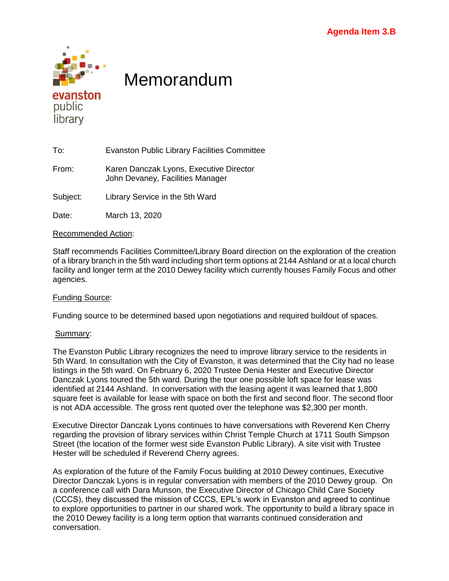

### Memorandum

To: Evanston Public Library Facilities Committee

From: Karen Danczak Lyons, Executive Director John Devaney, Facilities Manager

Subject: Library Service in the 5th Ward

Date: March 13, 2020

### Recommended Action:

Staff recommends Facilities Committee/Library Board direction on the exploration of the creation of a library branch in the 5th ward including short term options at 2144 Ashland or at a local church facility and longer term at the 2010 Dewey facility which currently houses Family Focus and other agencies.

### Funding Source:

Funding source to be determined based upon negotiations and required buildout of spaces.

### Summary:

The Evanston Public Library recognizes the need to improve library service to the residents in 5th Ward. In consultation with the City of Evanston, it was determined that the City had no lease listings in the 5th ward. On February 6, 2020 Trustee Denia Hester and Executive Director Danczak Lyons toured the 5th ward. During the tour one possible loft space for lease was identified at 2144 Ashland. In conversation with the leasing agent it was learned that 1,800 square feet is available for lease with space on both the first and second floor. The second floor is not ADA accessible. The gross rent quoted over the telephone was \$2,300 per month.

Executive Director Danczak Lyons continues to have conversations with Reverend Ken Cherry regarding the provision of library services within Christ Temple Church at 1711 South Simpson Street (the location of the former west side Evanston Public Library). A site visit with Trustee Hester will be scheduled if Reverend Cherry agrees.

As exploration of the future of the Family Focus building at 2010 Dewey continues, Executive Director Danczak Lyons is in regular conversation with members of the 2010 Dewey group. On a conference call with Dara Munson, the Executive Director of Chicago Child Care Society (CCCS), they discussed the mission of CCCS, EPL's work in Evanston and agreed to continue to explore opportunities to partner in our shared work. The opportunity to build a library space in the 2010 Dewey facility is a long term option that warrants continued consideration and conversation.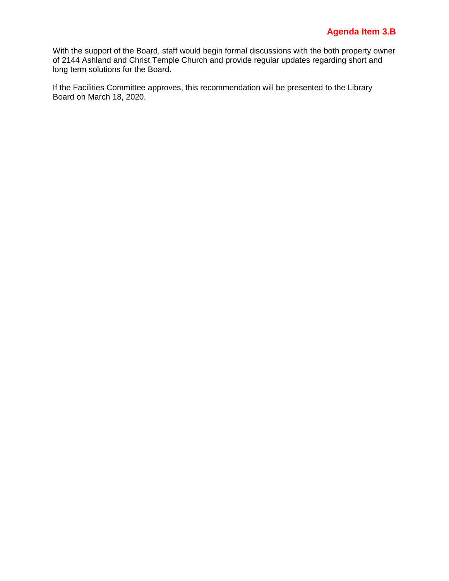### **Agenda Item 3.B**

With the support of the Board, staff would begin formal discussions with the both property owner of 2144 Ashland and Christ Temple Church and provide regular updates regarding short and long term solutions for the Board.

If the Facilities Committee approves, this recommendation will be presented to the Library Board on March 18, 2020.